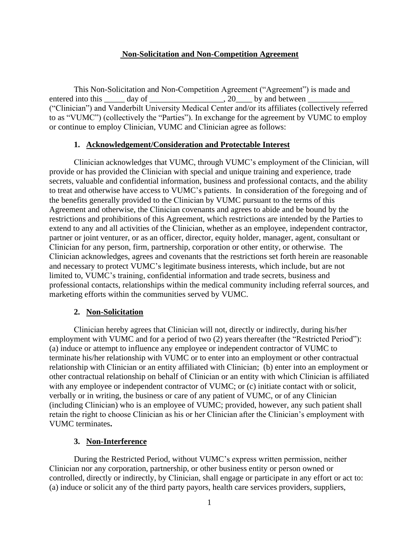#### **Non-Solicitation and Non-Competition Agreement**

This Non-Solicitation and Non-Competition Agreement ("Agreement") is made and entered into this day of  $\qquad \qquad$ , 20 by and between ("Clinician") and Vanderbilt University Medical Center and/or its affiliates (collectively referred to as "VUMC") (collectively the "Parties"). In exchange for the agreement by VUMC to employ or continue to employ Clinician, VUMC and Clinician agree as follows:

#### **1. Acknowledgement/Consideration and Protectable Interest**

Clinician acknowledges that VUMC, through VUMC's employment of the Clinician, will provide or has provided the Clinician with special and unique training and experience, trade secrets, valuable and confidential information, business and professional contacts, and the ability to treat and otherwise have access to VUMC's patients. In consideration of the foregoing and of the benefits generally provided to the Clinician by VUMC pursuant to the terms of this Agreement and otherwise, the Clinician covenants and agrees to abide and be bound by the restrictions and prohibitions of this Agreement, which restrictions are intended by the Parties to extend to any and all activities of the Clinician, whether as an employee, independent contractor, partner or joint venturer, or as an officer, director, equity holder, manager, agent, consultant or Clinician for any person, firm, partnership, corporation or other entity, or otherwise. The Clinician acknowledges, agrees and covenants that the restrictions set forth herein are reasonable and necessary to protect VUMC's legitimate business interests, which include, but are not limited to, VUMC's training, confidential information and trade secrets, business and professional contacts, relationships within the medical community including referral sources, and marketing efforts within the communities served by VUMC.

#### **2. Non-Solicitation**

Clinician hereby agrees that Clinician will not, directly or indirectly, during his/her employment with VUMC and for a period of two (2) years thereafter (the "Restricted Period"): (a) induce or attempt to influence any employee or independent contractor of VUMC to terminate his/her relationship with VUMC or to enter into an employment or other contractual relationship with Clinician or an entity affiliated with Clinician; (b) enter into an employment or other contractual relationship on behalf of Clinician or an entity with which Clinician is affiliated with any employee or independent contractor of VUMC; or (c) initiate contact with or solicit, verbally or in writing, the business or care of any patient of VUMC, or of any Clinician (including Clinician) who is an employee of VUMC; provided, however, any such patient shall retain the right to choose Clinician as his or her Clinician after the Clinician's employment with VUMC terminates**.** 

#### **3. Non-Interference**

During the Restricted Period, without VUMC's express written permission, neither Clinician nor any corporation, partnership, or other business entity or person owned or controlled, directly or indirectly, by Clinician, shall engage or participate in any effort or act to: (a) induce or solicit any of the third party payors, health care services providers, suppliers,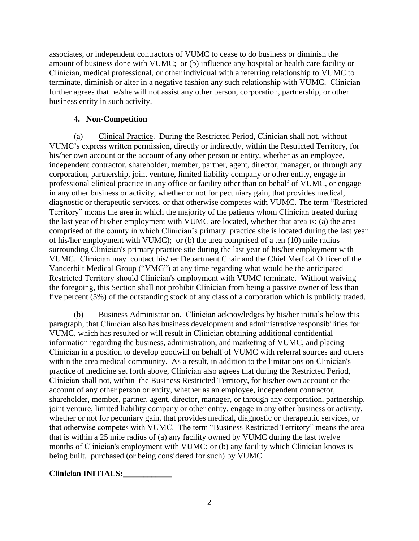associates, or independent contractors of VUMC to cease to do business or diminish the amount of business done with VUMC; or (b) influence any hospital or health care facility or Clinician, medical professional, or other individual with a referring relationship to VUMC to terminate, diminish or alter in a negative fashion any such relationship with VUMC. Clinician further agrees that he/she will not assist any other person, corporation, partnership, or other business entity in such activity.

# **4. Non-Competition**

(a) Clinical Practice. During the Restricted Period, Clinician shall not, without VUMC's express written permission, directly or indirectly, within the Restricted Territory, for his/her own account or the account of any other person or entity, whether as an employee, independent contractor, shareholder, member, partner, agent, director, manager, or through any corporation, partnership, joint venture, limited liability company or other entity, engage in professional clinical practice in any office or facility other than on behalf of VUMC, or engage in any other business or activity, whether or not for pecuniary gain, that provides medical, diagnostic or therapeutic services, or that otherwise competes with VUMC. The term "Restricted Territory" means the area in which the majority of the patients whom Clinician treated during the last year of his/her employment with VUMC are located, whether that area is: (a) the area comprised of the county in which Clinician's primary practice site is located during the last year of his/her employment with VUMC); or (b) the area comprised of a ten (10) mile radius surrounding Clinician's primary practice site during the last year of his/her employment with VUMC. Clinician may contact his/her Department Chair and the Chief Medical Officer of the Vanderbilt Medical Group ("VMG") at any time regarding what would be the anticipated Restricted Territory should Clinician's employment with VUMC terminate. Without waiving the foregoing, this Section shall not prohibit Clinician from being a passive owner of less than five percent (5%) of the outstanding stock of any class of a corporation which is publicly traded.

(b) Business Administration. Clinician acknowledges by his/her initials below this paragraph, that Clinician also has business development and administrative responsibilities for VUMC, which has resulted or will result in Clinician obtaining additional confidential information regarding the business, administration, and marketing of VUMC, and placing Clinician in a position to develop goodwill on behalf of VUMC with referral sources and others within the area medical community. As a result, in addition to the limitations on Clinician's practice of medicine set forth above, Clinician also agrees that during the Restricted Period, Clinician shall not, within the Business Restricted Territory, for his/her own account or the account of any other person or entity, whether as an employee, independent contractor, shareholder, member, partner, agent, director, manager, or through any corporation, partnership, joint venture, limited liability company or other entity, engage in any other business or activity, whether or not for pecuniary gain, that provides medical, diagnostic or therapeutic services, or that otherwise competes with VUMC. The term "Business Restricted Territory" means the area that is within a 25 mile radius of (a) any facility owned by VUMC during the last twelve months of Clinician's employment with VUMC; or (b) any facility which Clinician knows is being built, purchased (or being considered for such) by VUMC.

**Clinician INITIALS:\_\_\_\_\_\_\_\_\_\_\_\_**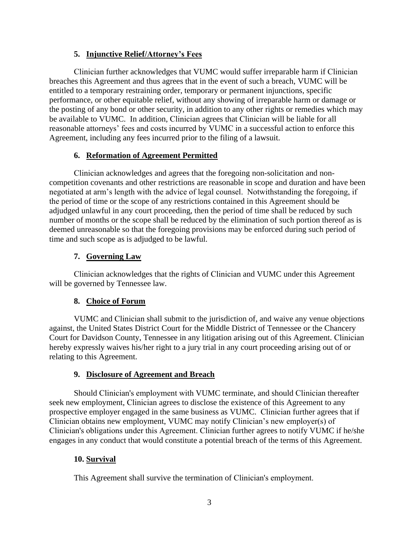### **5. Injunctive Relief/Attorney's Fees**

Clinician further acknowledges that VUMC would suffer irreparable harm if Clinician breaches this Agreement and thus agrees that in the event of such a breach, VUMC will be entitled to a temporary restraining order, temporary or permanent injunctions, specific performance, or other equitable relief, without any showing of irreparable harm or damage or the posting of any bond or other security, in addition to any other rights or remedies which may be available to VUMC. In addition, Clinician agrees that Clinician will be liable for all reasonable attorneys' fees and costs incurred by VUMC in a successful action to enforce this Agreement, including any fees incurred prior to the filing of a lawsuit.

## **6. Reformation of Agreement Permitted**

Clinician acknowledges and agrees that the foregoing non-solicitation and noncompetition covenants and other restrictions are reasonable in scope and duration and have been negotiated at arm's length with the advice of legal counsel. Notwithstanding the foregoing, if the period of time or the scope of any restrictions contained in this Agreement should be adjudged unlawful in any court proceeding, then the period of time shall be reduced by such number of months or the scope shall be reduced by the elimination of such portion thereof as is deemed unreasonable so that the foregoing provisions may be enforced during such period of time and such scope as is adjudged to be lawful.

#### **7. Governing Law**

Clinician acknowledges that the rights of Clinician and VUMC under this Agreement will be governed by Tennessee law.

## **8. Choice of Forum**

VUMC and Clinician shall submit to the jurisdiction of, and waive any venue objections against, the United States District Court for the Middle District of Tennessee or the Chancery Court for Davidson County, Tennessee in any litigation arising out of this Agreement. Clinician hereby expressly waives his/her right to a jury trial in any court proceeding arising out of or relating to this Agreement.

## **9. Disclosure of Agreement and Breach**

Should Clinician's employment with VUMC terminate, and should Clinician thereafter seek new employment, Clinician agrees to disclose the existence of this Agreement to any prospective employer engaged in the same business as VUMC. Clinician further agrees that if Clinician obtains new employment, VUMC may notify Clinician's new employer(s) of Clinician's obligations under this Agreement. Clinician further agrees to notify VUMC if he/she engages in any conduct that would constitute a potential breach of the terms of this Agreement.

## **10. Survival**

This Agreement shall survive the termination of Clinician's employment.